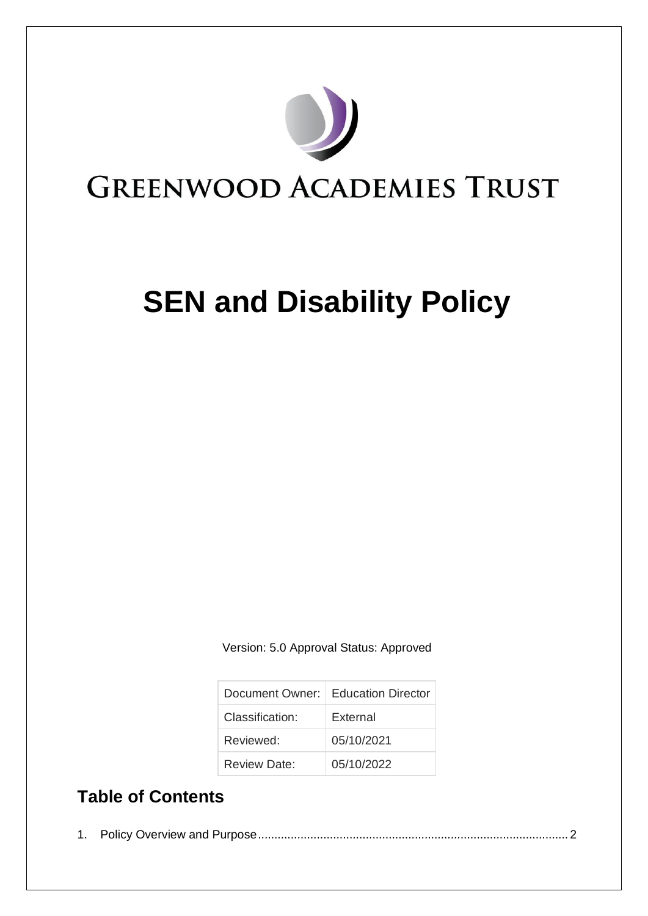

# **SEN and Disability Policy**

Version: 5.0 Approval Status: Approved

|                 | Document Owner:   Education Director |
|-----------------|--------------------------------------|
| Classification: | External                             |
| Reviewed:       | 05/10/2021                           |
| Review Date:    | 05/10/2022                           |

## **Table of Contents**

|--|--|--|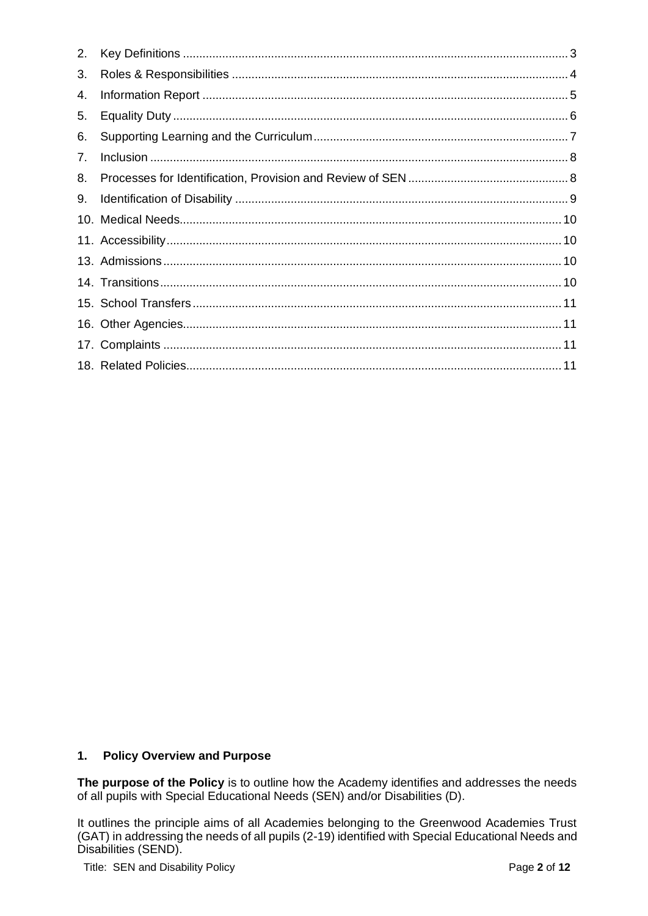| 2. |  |
|----|--|
| 3. |  |
| 4. |  |
| 5. |  |
| 6. |  |
| 7. |  |
| 8. |  |
| 9. |  |
|    |  |
|    |  |
|    |  |
|    |  |
|    |  |
|    |  |
|    |  |
|    |  |

#### <span id="page-1-0"></span> $1.$ **Policy Overview and Purpose**

The purpose of the Policy is to outline how the Academy identifies and addresses the needs of all pupils with Special Educational Needs (SEN) and/or Disabilities (D).

It outlines the principle aims of all Academies belonging to the Greenwood Academies Trust (GAT) in addressing the needs of all pupils (2-19) identified with Special Educational Needs and Disabilities (SEND).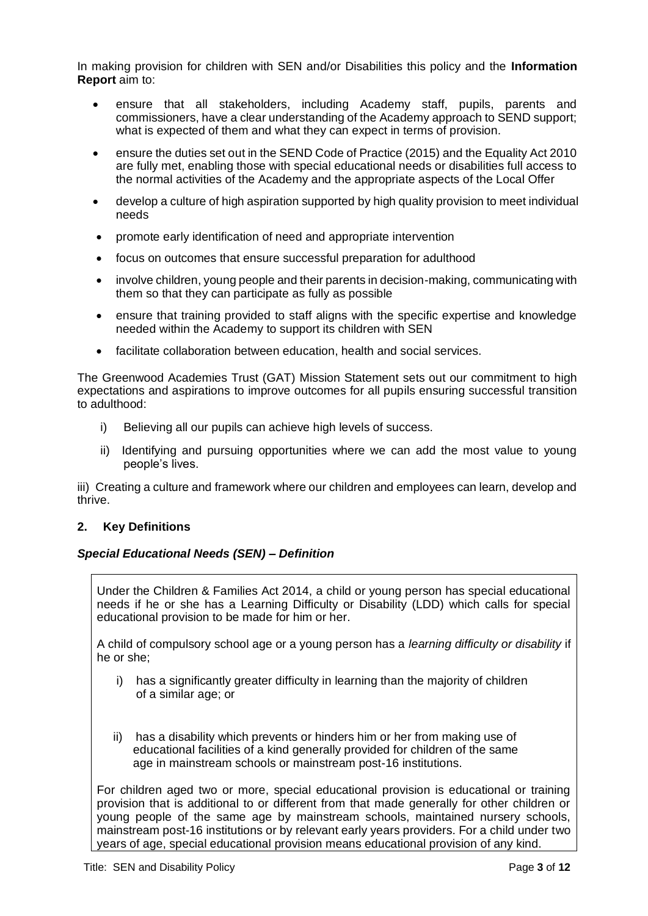In making provision for children with SEN and/or Disabilities this policy and the **Information Report** aim to:

- ensure that all stakeholders, including Academy staff, pupils, parents and commissioners, have a clear understanding of the Academy approach to SEND support; what is expected of them and what they can expect in terms of provision.
- ensure the duties set out in the SEND Code of Practice (2015) and the Equality Act 2010 are fully met, enabling those with special educational needs or disabilities full access to the normal activities of the Academy and the appropriate aspects of the Local Offer
- develop a culture of high aspiration supported by high quality provision to meet individual needs
- promote early identification of need and appropriate intervention
- focus on outcomes that ensure successful preparation for adulthood
- involve children, young people and their parents in decision-making, communicating with them so that they can participate as fully as possible
- ensure that training provided to staff aligns with the specific expertise and knowledge needed within the Academy to support its children with SEN
- facilitate collaboration between education, health and social services.

The Greenwood Academies Trust (GAT) Mission Statement sets out our commitment to high expectations and aspirations to improve outcomes for all pupils ensuring successful transition to adulthood:

- i) Believing all our pupils can achieve high levels of success.
- ii) Identifying and pursuing opportunities where we can add the most value to young people's lives.

iii) Creating a culture and framework where our children and employees can learn, develop and thrive.

#### <span id="page-2-0"></span>**2. Key Definitions**

#### *Special Educational Needs (SEN) – Definition*

Under the Children & Families Act 2014, a child or young person has special educational needs if he or she has a Learning Difficulty or Disability (LDD) which calls for special educational provision to be made for him or her.

A child of compulsory school age or a young person has a *learning difficulty or disability* if he or she;

- i) has a significantly greater difficulty in learning than the majority of children of a similar age; or
- ii) has a disability which prevents or hinders him or her from making use of educational facilities of a kind generally provided for children of the same age in mainstream schools or mainstream post-16 institutions.

For children aged two or more, special educational provision is educational or training provision that is additional to or different from that made generally for other children or young people of the same age by mainstream schools, maintained nursery schools, mainstream post-16 institutions or by relevant early years providers. For a child under two years of age, special educational provision means educational provision of any kind.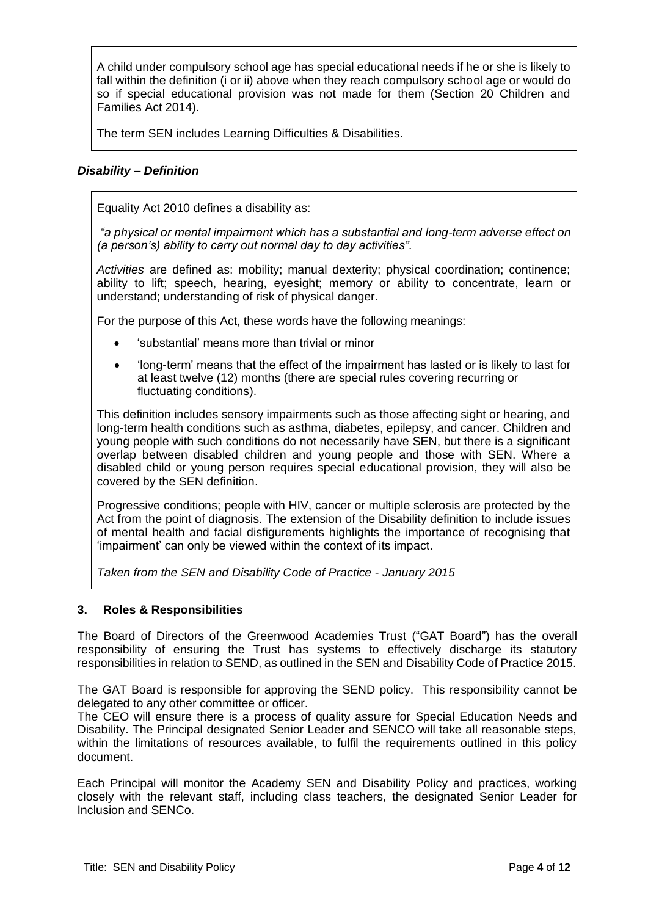A child under compulsory school age has special educational needs if he or she is likely to fall within the definition (i or ii) above when they reach compulsory school age or would do so if special educational provision was not made for them (Section 20 Children and Families Act 2014).

The term SEN includes Learning Difficulties & Disabilities.

### *Disability – Definition*

Equality Act 2010 defines a disability as:

*"a physical or mental impairment which has a substantial and long-term adverse effect on (a person's) ability to carry out normal day to day activities".*

*Activities* are defined as: mobility; manual dexterity; physical coordination; continence; ability to lift; speech, hearing, eyesight; memory or ability to concentrate, learn or understand; understanding of risk of physical danger.

For the purpose of this Act, these words have the following meanings:

- 'substantial' means more than trivial or minor
- 'long-term' means that the effect of the impairment has lasted or is likely to last for at least twelve (12) months (there are special rules covering recurring or fluctuating conditions).

This definition includes sensory impairments such as those affecting sight or hearing, and long-term health conditions such as asthma, diabetes, epilepsy, and cancer. Children and young people with such conditions do not necessarily have SEN, but there is a significant overlap between disabled children and young people and those with SEN. Where a disabled child or young person requires special educational provision, they will also be covered by the SEN definition.

Progressive conditions; people with HIV, cancer or multiple sclerosis are protected by the Act from the point of diagnosis. The extension of the Disability definition to include issues of mental health and facial disfigurements highlights the importance of recognising that 'impairment' can only be viewed within the context of its impact.

*Taken from the SEN and Disability Code of Practice - January 2015*

#### <span id="page-3-0"></span>**3. Roles & Responsibilities**

The Board of Directors of the Greenwood Academies Trust ("GAT Board") has the overall responsibility of ensuring the Trust has systems to effectively discharge its statutory responsibilities in relation to SEND, as outlined in the SEN and Disability Code of Practice 2015.

The GAT Board is responsible for approving the SEND policy. This responsibility cannot be delegated to any other committee or officer.

The CEO will ensure there is a process of quality assure for Special Education Needs and Disability. The Principal designated Senior Leader and SENCO will take all reasonable steps, within the limitations of resources available, to fulfil the requirements outlined in this policy document.

Each Principal will monitor the Academy SEN and Disability Policy and practices, working closely with the relevant staff, including class teachers, the designated Senior Leader for Inclusion and SENCo.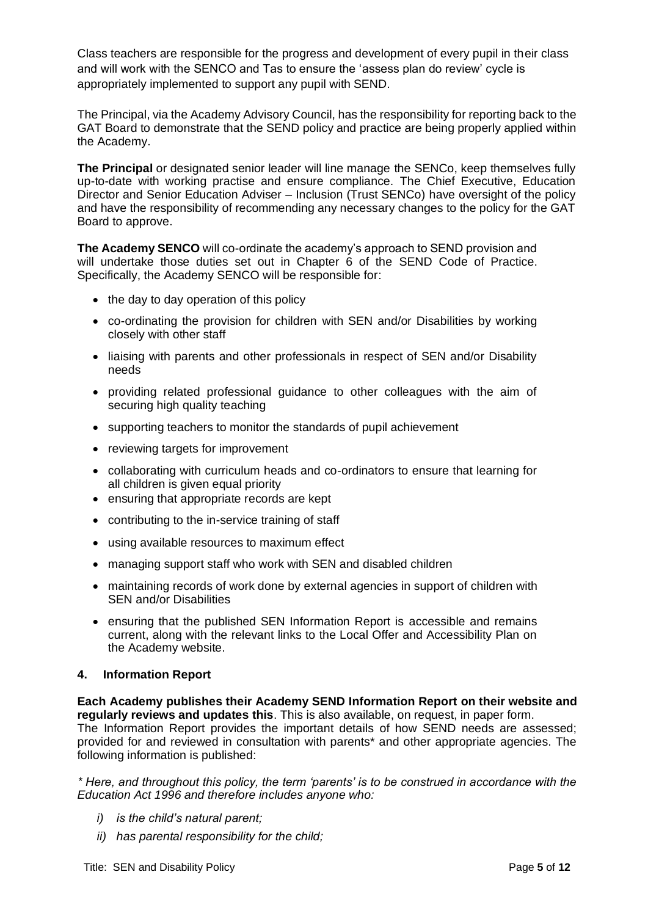Class teachers are responsible for the progress and development of every pupil in their class and will work with the SENCO and Tas to ensure the 'assess plan do review' cycle is appropriately implemented to support any pupil with SEND.

The Principal, via the Academy Advisory Council, has the responsibility for reporting back to the GAT Board to demonstrate that the SEND policy and practice are being properly applied within the Academy.

**The Principal** or designated senior leader will line manage the SENCo, keep themselves fully up-to-date with working practise and ensure compliance. The Chief Executive, Education Director and Senior Education Adviser – Inclusion (Trust SENCo) have oversight of the policy and have the responsibility of recommending any necessary changes to the policy for the GAT Board to approve.

**The Academy SENCO** will co-ordinate the academy's approach to SEND provision and will undertake those duties set out in Chapter 6 of the SEND Code of Practice. Specifically, the Academy SENCO will be responsible for:

- the day to day operation of this policy
- co-ordinating the provision for children with SEN and/or Disabilities by working closely with other staff
- liaising with parents and other professionals in respect of SEN and/or Disability needs
- providing related professional guidance to other colleagues with the aim of securing high quality teaching
- supporting teachers to monitor the standards of pupil achievement
- reviewing targets for improvement
- collaborating with curriculum heads and co-ordinators to ensure that learning for all children is given equal priority
- ensuring that appropriate records are kept
- contributing to the in-service training of staff
- using available resources to maximum effect
- managing support staff who work with SEN and disabled children
- maintaining records of work done by external agencies in support of children with SEN and/or Disabilities
- ensuring that the published SEN Information Report is accessible and remains current, along with the relevant links to the Local Offer and Accessibility Plan on the Academy website.

#### <span id="page-4-0"></span>**4. Information Report**

**Each Academy publishes their Academy SEND Information Report on their website and regularly reviews and updates this**. This is also available, on request, in paper form. The Information Report provides the important details of how SEND needs are assessed; provided for and reviewed in consultation with parents\* and other appropriate agencies. The following information is published:

*\* Here, and throughout this policy, the term 'parents' is to be construed in accordance with the Education Act 1996 and therefore includes anyone who:* 

- *i) is the child's natural parent;*
- *ii) has parental responsibility for the child;*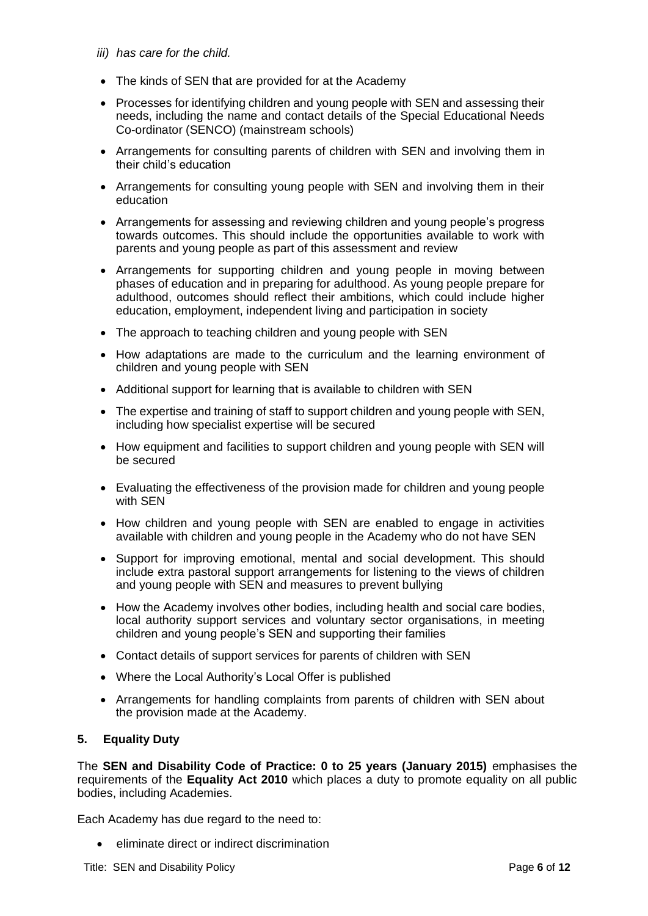- *iii) has care for the child.*
- The kinds of SEN that are provided for at the Academy
- Processes for identifying children and young people with SEN and assessing their needs, including the name and contact details of the Special Educational Needs Co-ordinator (SENCO) (mainstream schools)
- Arrangements for consulting parents of children with SEN and involving them in their child's education
- Arrangements for consulting young people with SEN and involving them in their education
- Arrangements for assessing and reviewing children and young people's progress towards outcomes. This should include the opportunities available to work with parents and young people as part of this assessment and review
- Arrangements for supporting children and young people in moving between phases of education and in preparing for adulthood. As young people prepare for adulthood, outcomes should reflect their ambitions, which could include higher education, employment, independent living and participation in society
- The approach to teaching children and young people with SEN
- How adaptations are made to the curriculum and the learning environment of children and young people with SEN
- Additional support for learning that is available to children with SEN
- The expertise and training of staff to support children and young people with SEN, including how specialist expertise will be secured
- How equipment and facilities to support children and young people with SEN will be secured
- Evaluating the effectiveness of the provision made for children and young people with SEN
- How children and young people with SEN are enabled to engage in activities available with children and young people in the Academy who do not have SEN
- Support for improving emotional, mental and social development. This should include extra pastoral support arrangements for listening to the views of children and young people with SEN and measures to prevent bullying
- How the Academy involves other bodies, including health and social care bodies, local authority support services and voluntary sector organisations, in meeting children and young people's SEN and supporting their families
- Contact details of support services for parents of children with SEN
- Where the Local Authority's Local Offer is published
- Arrangements for handling complaints from parents of children with SEN about the provision made at the Academy.

#### <span id="page-5-0"></span>**5. Equality Duty**

The **SEN and Disability Code of Practice: 0 to 25 years (January 2015)** emphasises the requirements of the **Equality Act 2010** which places a duty to promote equality on all public bodies, including Academies.

Each Academy has due regard to the need to:

• eliminate direct or indirect discrimination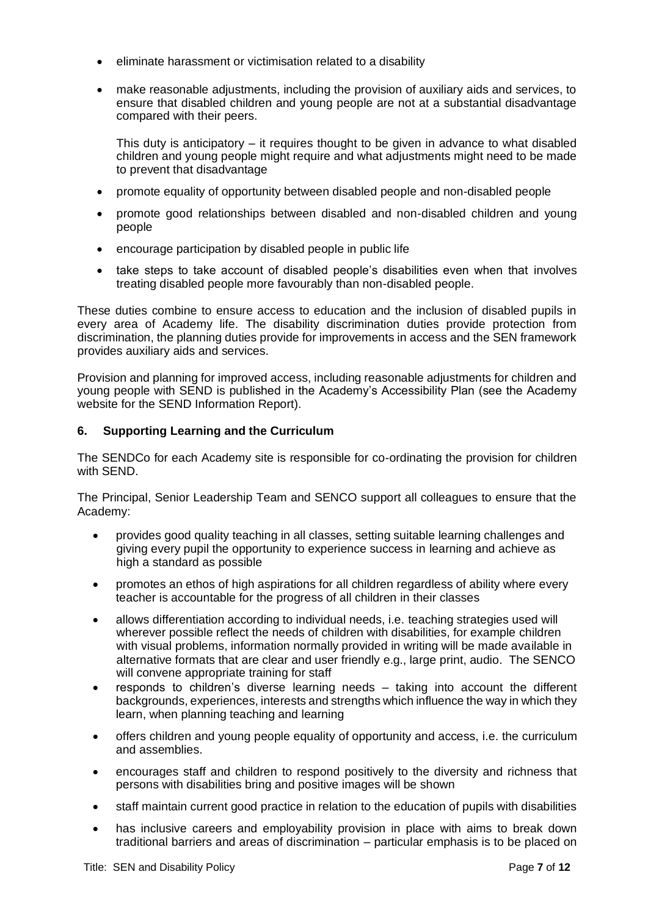- eliminate harassment or victimisation related to a disability
- make reasonable adjustments, including the provision of auxiliary aids and services, to ensure that disabled children and young people are not at a substantial disadvantage compared with their peers.

This duty is anticipatory – it requires thought to be given in advance to what disabled children and young people might require and what adjustments might need to be made to prevent that disadvantage

- promote equality of opportunity between disabled people and non-disabled people
- promote good relationships between disabled and non-disabled children and young people
- encourage participation by disabled people in public life
- take steps to take account of disabled people's disabilities even when that involves treating disabled people more favourably than non-disabled people.

These duties combine to ensure access to education and the inclusion of disabled pupils in every area of Academy life. The disability discrimination duties provide protection from discrimination, the planning duties provide for improvements in access and the SEN framework provides auxiliary aids and services.

Provision and planning for improved access, including reasonable adjustments for children and young people with SEND is published in the Academy's Accessibility Plan (see the Academy website for the SEND Information Report).

#### <span id="page-6-0"></span>**6. Supporting Learning and the Curriculum**

The SENDCo for each Academy site is responsible for co-ordinating the provision for children with SEND.

The Principal, Senior Leadership Team and SENCO support all colleagues to ensure that the Academy:

- provides good quality teaching in all classes, setting suitable learning challenges and giving every pupil the opportunity to experience success in learning and achieve as high a standard as possible
- promotes an ethos of high aspirations for all children regardless of ability where every teacher is accountable for the progress of all children in their classes
- allows differentiation according to individual needs, i.e. teaching strategies used will wherever possible reflect the needs of children with disabilities, for example children with visual problems, information normally provided in writing will be made available in alternative formats that are clear and user friendly e.g., large print, audio. The SENCO will convene appropriate training for staff
- responds to children's diverse learning needs taking into account the different backgrounds, experiences, interests and strengths which influence the way in which they learn, when planning teaching and learning
- offers children and young people equality of opportunity and access, i.e. the curriculum and assemblies.
- encourages staff and children to respond positively to the diversity and richness that persons with disabilities bring and positive images will be shown
- staff maintain current good practice in relation to the education of pupils with disabilities
- has inclusive careers and employability provision in place with aims to break down traditional barriers and areas of discrimination – particular emphasis is to be placed on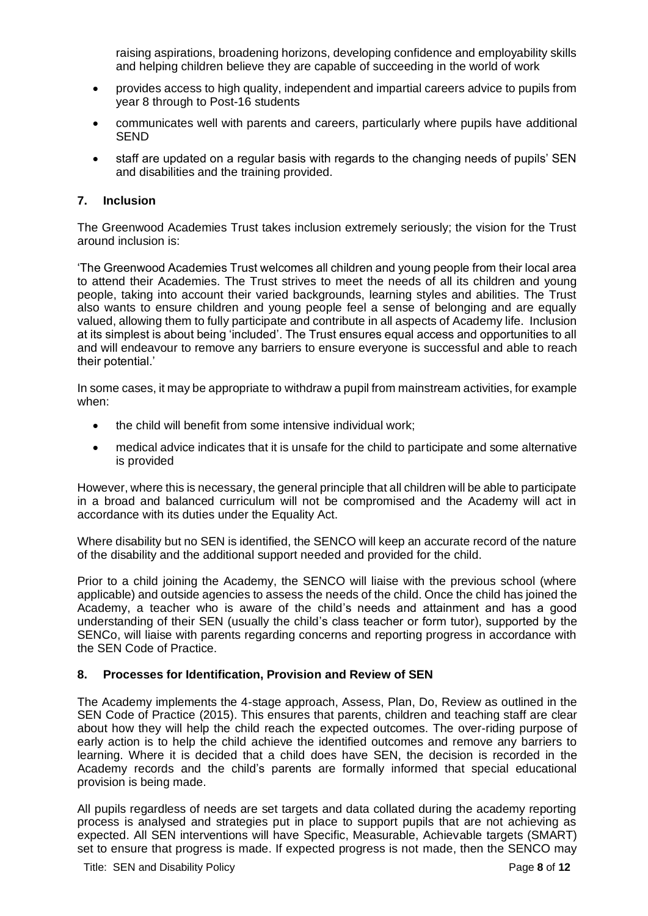raising aspirations, broadening horizons, developing confidence and employability skills and helping children believe they are capable of succeeding in the world of work

- provides access to high quality, independent and impartial careers advice to pupils from year 8 through to Post-16 students
- communicates well with parents and careers, particularly where pupils have additional SEND
- staff are updated on a regular basis with regards to the changing needs of pupils' SEN and disabilities and the training provided.

#### <span id="page-7-0"></span>**7. Inclusion**

The Greenwood Academies Trust takes inclusion extremely seriously; the vision for the Trust around inclusion is:

'The Greenwood Academies Trust welcomes all children and young people from their local area to attend their Academies. The Trust strives to meet the needs of all its children and young people, taking into account their varied backgrounds, learning styles and abilities. The Trust also wants to ensure children and young people feel a sense of belonging and are equally valued, allowing them to fully participate and contribute in all aspects of Academy life. Inclusion at its simplest is about being 'included'. The Trust ensures equal access and opportunities to all and will endeavour to remove any barriers to ensure everyone is successful and able to reach their potential.'

In some cases, it may be appropriate to withdraw a pupil from mainstream activities, for example when:

- the child will benefit from some intensive individual work:
- medical advice indicates that it is unsafe for the child to participate and some alternative is provided

However, where this is necessary, the general principle that all children will be able to participate in a broad and balanced curriculum will not be compromised and the Academy will act in accordance with its duties under the Equality Act.

Where disability but no SEN is identified, the SENCO will keep an accurate record of the nature of the disability and the additional support needed and provided for the child.

Prior to a child joining the Academy, the SENCO will liaise with the previous school (where applicable) and outside agencies to assess the needs of the child. Once the child has joined the Academy, a teacher who is aware of the child's needs and attainment and has a good understanding of their SEN (usually the child's class teacher or form tutor), supported by the SENCo, will liaise with parents regarding concerns and reporting progress in accordance with the SEN Code of Practice.

#### <span id="page-7-1"></span>**8. Processes for Identification, Provision and Review of SEN**

The Academy implements the 4-stage approach, Assess, Plan, Do, Review as outlined in the SEN Code of Practice (2015). This ensures that parents, children and teaching staff are clear about how they will help the child reach the expected outcomes. The over-riding purpose of early action is to help the child achieve the identified outcomes and remove any barriers to learning. Where it is decided that a child does have SEN, the decision is recorded in the Academy records and the child's parents are formally informed that special educational provision is being made.

All pupils regardless of needs are set targets and data collated during the academy reporting process is analysed and strategies put in place to support pupils that are not achieving as expected. All SEN interventions will have Specific, Measurable, Achievable targets (SMART) set to ensure that progress is made. If expected progress is not made, then the SENCO may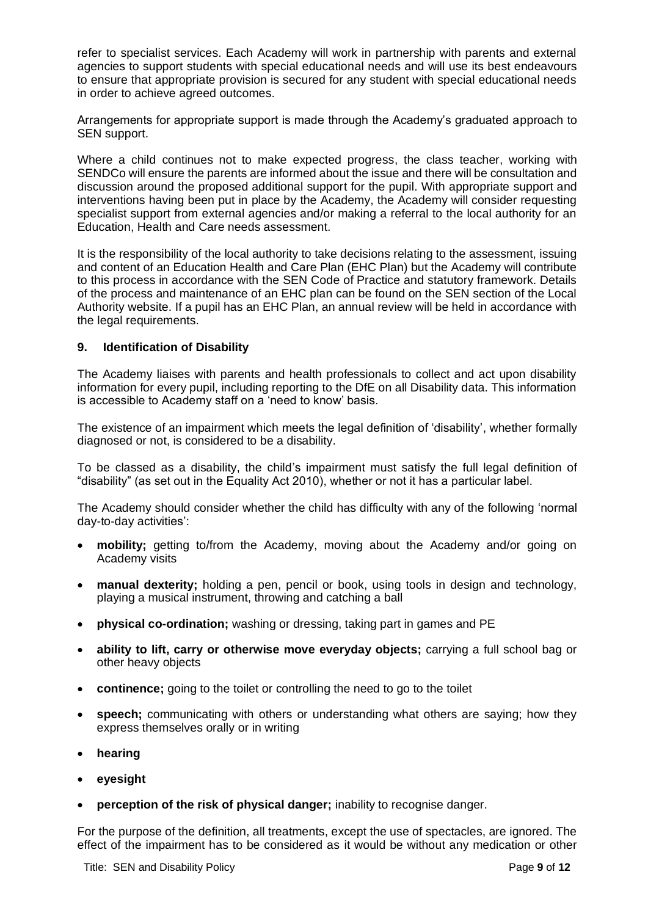refer to specialist services. Each Academy will work in partnership with parents and external agencies to support students with special educational needs and will use its best endeavours to ensure that appropriate provision is secured for any student with special educational needs in order to achieve agreed outcomes.

Arrangements for appropriate support is made through the Academy's graduated approach to SEN support.

Where a child continues not to make expected progress, the class teacher, working with SENDCo will ensure the parents are informed about the issue and there will be consultation and discussion around the proposed additional support for the pupil. With appropriate support and interventions having been put in place by the Academy, the Academy will consider requesting specialist support from external agencies and/or making a referral to the local authority for an Education, Health and Care needs assessment.

It is the responsibility of the local authority to take decisions relating to the assessment, issuing and content of an Education Health and Care Plan (EHC Plan) but the Academy will contribute to this process in accordance with the SEN Code of Practice and statutory framework. Details of the process and maintenance of an EHC plan can be found on the SEN section of the Local Authority website. If a pupil has an EHC Plan, an annual review will be held in accordance with the legal requirements.

#### <span id="page-8-0"></span>**9. Identification of Disability**

The Academy liaises with parents and health professionals to collect and act upon disability information for every pupil, including reporting to the DfE on all Disability data. This information is accessible to Academy staff on a 'need to know' basis.

The existence of an impairment which meets the legal definition of 'disability', whether formally diagnosed or not, is considered to be a disability.

To be classed as a disability, the child's impairment must satisfy the full legal definition of "disability" (as set out in the Equality Act 2010), whether or not it has a particular label.

The Academy should consider whether the child has difficulty with any of the following 'normal day-to-day activities':

- **mobility;** getting to/from the Academy, moving about the Academy and/or going on Academy visits
- **manual dexterity;** holding a pen, pencil or book, using tools in design and technology, playing a musical instrument, throwing and catching a ball
- **physical co-ordination;** washing or dressing, taking part in games and PE
- **ability to lift, carry or otherwise move everyday objects;** carrying a full school bag or other heavy objects
- **continence;** going to the toilet or controlling the need to go to the toilet
- **speech;** communicating with others or understanding what others are saying; how they express themselves orally or in writing
- **hearing**
- **eyesight**
- **perception of the risk of physical danger;** inability to recognise danger.

For the purpose of the definition, all treatments, except the use of spectacles, are ignored. The effect of the impairment has to be considered as it would be without any medication or other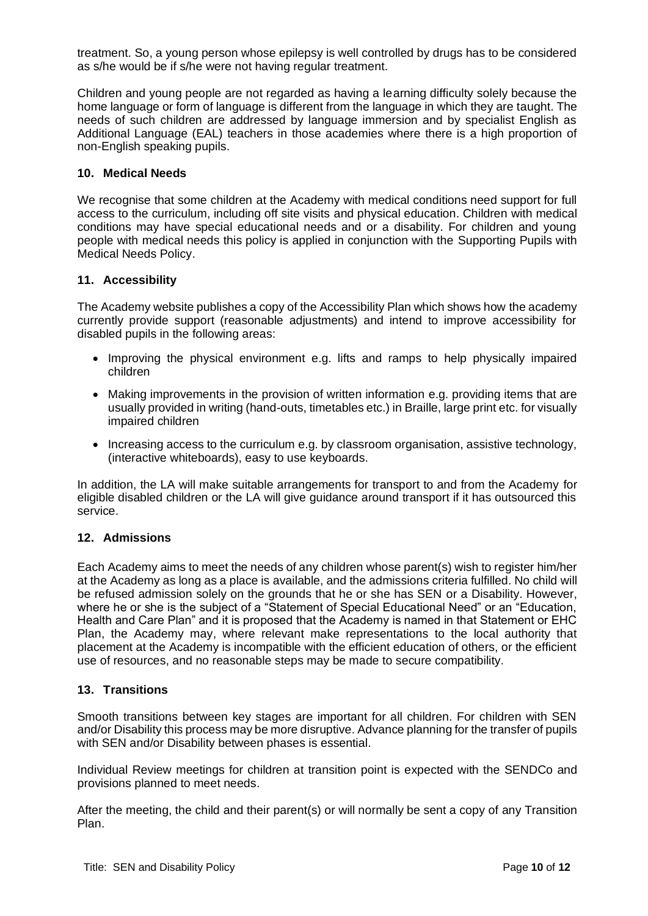treatment. So, a young person whose epilepsy is well controlled by drugs has to be considered as s/he would be if s/he were not having regular treatment.

Children and young people are not regarded as having a learning difficulty solely because the home language or form of language is different from the language in which they are taught. The needs of such children are addressed by language immersion and by specialist English as Additional Language (EAL) teachers in those academies where there is a high proportion of non-English speaking pupils.

#### <span id="page-9-0"></span>**10. Medical Needs**

We recognise that some children at the Academy with medical conditions need support for full access to the curriculum, including off site visits and physical education. Children with medical conditions may have special educational needs and or a disability. For children and young people with medical needs this policy is applied in conjunction with the Supporting Pupils with Medical Needs Policy.

#### <span id="page-9-1"></span>**11. Accessibility**

The Academy website publishes a copy of the Accessibility Plan which shows how the academy currently provide support (reasonable adjustments) and intend to improve accessibility for disabled pupils in the following areas:

- Improving the physical environment e.g. lifts and ramps to help physically impaired children
- Making improvements in the provision of written information e.g. providing items that are usually provided in writing (hand-outs, timetables etc.) in Braille, large print etc. for visually impaired children
- Increasing access to the curriculum e.g. by classroom organisation, assistive technology, (interactive whiteboards), easy to use keyboards.

In addition, the LA will make suitable arrangements for transport to and from the Academy for eligible disabled children or the LA will give guidance around transport if it has outsourced this service.

#### <span id="page-9-2"></span>**12. Admissions**

Each Academy aims to meet the needs of any children whose parent(s) wish to register him/her at the Academy as long as a place is available, and the admissions criteria fulfilled. No child will be refused admission solely on the grounds that he or she has SEN or a Disability. However, where he or she is the subject of a "Statement of Special Educational Need" or an "Education, Health and Care Plan" and it is proposed that the Academy is named in that Statement or EHC Plan, the Academy may, where relevant make representations to the local authority that placement at the Academy is incompatible with the efficient education of others, or the efficient use of resources, and no reasonable steps may be made to secure compatibility.

#### <span id="page-9-3"></span>**13. Transitions**

Smooth transitions between key stages are important for all children. For children with SEN and/or Disability this process may be more disruptive*.* Advance planning for the transfer of pupils with SEN and/or Disability between phases is essential.

Individual Review meetings for children at transition point is expected with the SENDCo and provisions planned to meet needs.

After the meeting, the child and their parent(s) or will normally be sent a copy of any Transition Plan.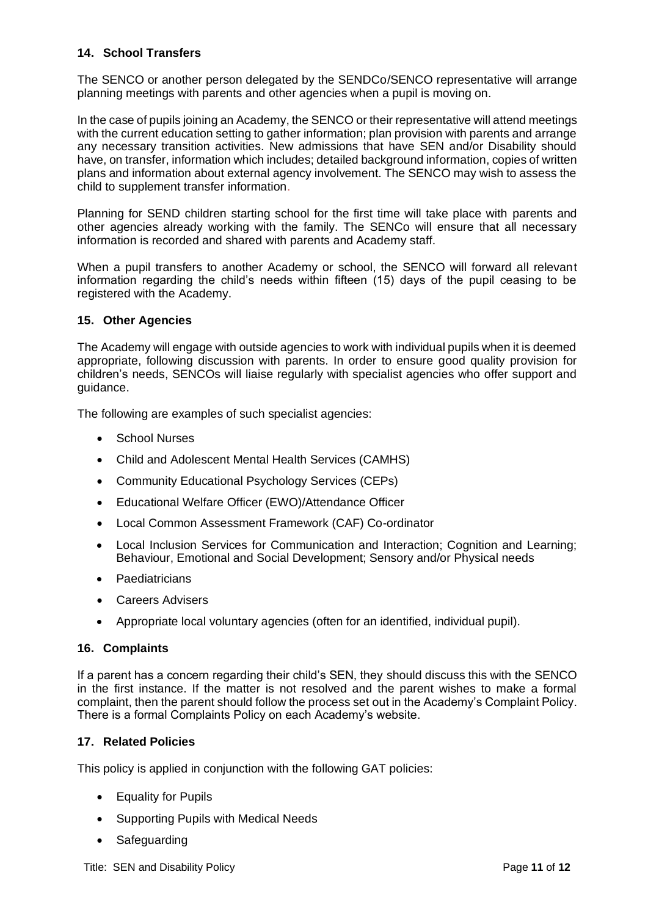### <span id="page-10-0"></span>**14. School Transfers**

The SENCO or another person delegated by the SENDCo/SENCO representative will arrange planning meetings with parents and other agencies when a pupil is moving on.

In the case of pupils joining an Academy, the SENCO or their representative will attend meetings with the current education setting to gather information; plan provision with parents and arrange any necessary transition activities. New admissions that have SEN and/or Disability should have, on transfer, information which includes; detailed background information, copies of written plans and information about external agency involvement. The SENCO may wish to assess the child to supplement transfer information.

Planning for SEND children starting school for the first time will take place with parents and other agencies already working with the family. The SENCo will ensure that all necessary information is recorded and shared with parents and Academy staff.

When a pupil transfers to another Academy or school, the SENCO will forward all relevant information regarding the child's needs within fifteen (15) days of the pupil ceasing to be registered with the Academy.

#### <span id="page-10-1"></span>**15. Other Agencies**

The Academy will engage with outside agencies to work with individual pupils when it is deemed appropriate, following discussion with parents. In order to ensure good quality provision for children's needs, SENCOs will liaise regularly with specialist agencies who offer support and guidance.

The following are examples of such specialist agencies:

- School Nurses
- Child and Adolescent Mental Health Services (CAMHS)
- Community Educational Psychology Services (CEPs)
- Educational Welfare Officer (EWO)/Attendance Officer
- Local Common Assessment Framework (CAF) Co-ordinator
- Local Inclusion Services for Communication and Interaction; Cognition and Learning; Behaviour, Emotional and Social Development; Sensory and/or Physical needs
- Paediatricians
- Careers Advisers
- Appropriate local voluntary agencies (often for an identified, individual pupil).

#### <span id="page-10-2"></span>**16. Complaints**

If a parent has a concern regarding their child's SEN, they should discuss this with the SENCO in the first instance. If the matter is not resolved and the parent wishes to make a formal complaint, then the parent should follow the process set out in the Academy's Complaint Policy. There is a formal Complaints Policy on each Academy's website.

#### <span id="page-10-3"></span>**17. Related Policies**

This policy is applied in conjunction with the following GAT policies:

- Equality for Pupils
- Supporting Pupils with Medical Needs
- Safeguarding